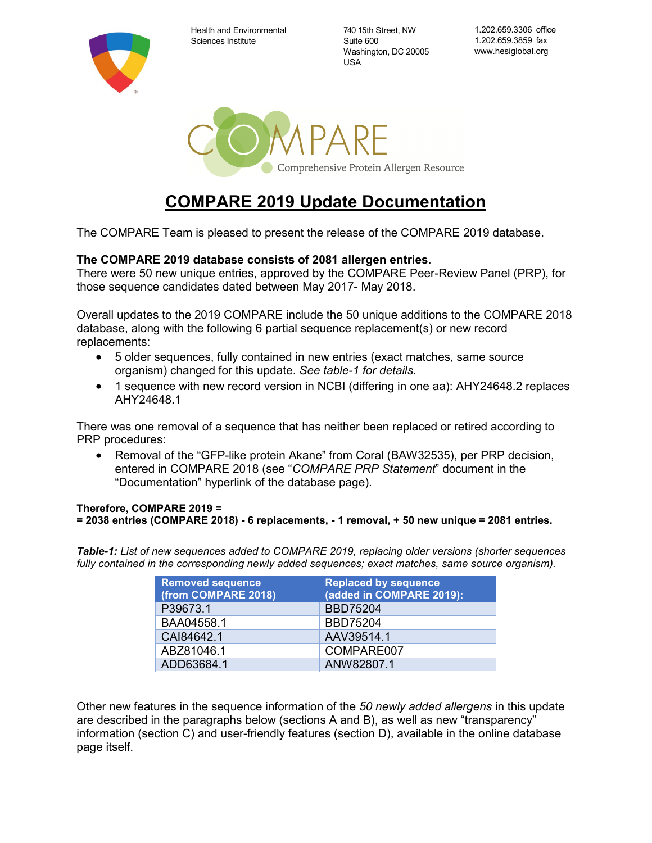Health and Environmental Sciences Institute

740 15th Street, NW Suite 600 Washington, DC 20005 USA

1.202.659.3306 office 1.202.659.3859 fax www.hesiglobal.org



# **COMPARE 2019 Update Documentation**

The COMPARE Team is pleased to present the release of the COMPARE 2019 database.

#### **The COMPARE 2019 database consists of 2081 allergen entries**.

There were 50 new unique entries, approved by the COMPARE Peer-Review Panel (PRP), for those sequence candidates dated between May 2017- May 2018.

Overall updates to the 2019 COMPARE include the 50 unique additions to the COMPARE 2018 database, along with the following 6 partial sequence replacement(s) or new record replacements:

- 5 older sequences, fully contained in new entries (exact matches, same source organism) changed for this update. *See table-1 for details.*
- 1 sequence with new record version in NCBI (differing in one aa): AHY24648.2 replaces AHY24648.1

There was one removal of a sequence that has neither been replaced or retired according to PRP procedures:

• Removal of the "GFP-like protein Akane" from Coral (BAW32535), per PRP decision, entered in COMPARE 2018 (see "*COMPARE PRP Statement*" document in the "Documentation" hyperlink of the database page).

#### **Therefore, COMPARE 2019 = = 2038 entries (COMPARE 2018) - 6 replacements, - 1 removal, + 50 new unique = 2081 entries.**

*Table-1: List of new sequences added to COMPARE 2019, replacing older versions (shorter sequences fully contained in the corresponding newly added sequences; exact matches, same source organism).*

| <b>Removed sequence</b> | <b>Replaced by sequence</b> |
|-------------------------|-----------------------------|
| (from COMPARE 2018)     | (added in COMPARE 2019):    |
| P39673.1                | <b>BBD75204</b>             |
| BAA04558.1              | <b>BBD75204</b>             |
| CAI84642.1              | AAV39514.1                  |
| ABZ81046.1              | COMPARE007                  |
| ADD63684.1              | ANW82807.1                  |

Other new features in the sequence information of the *50 newly added allergens* in this update are described in the paragraphs below (sections A and B), as well as new "transparency" information (section C) and user-friendly features (section D), available in the online database page itself.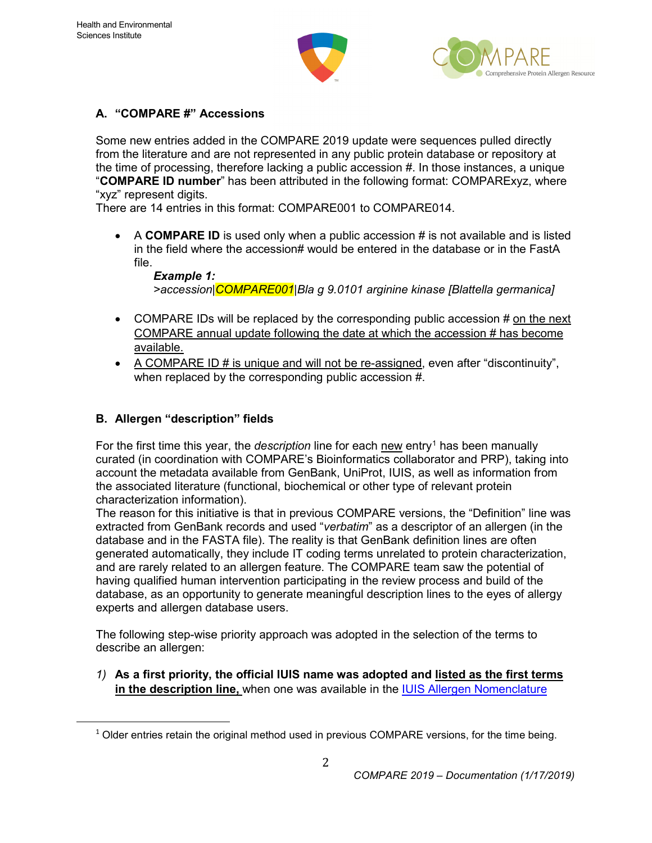



### **A. "COMPARE #" Accessions**

Some new entries added in the COMPARE 2019 update were sequences pulled directly from the literature and are not represented in any public protein database or repository at the time of processing, therefore lacking a public accession #. In those instances, a unique "**COMPARE ID number**" has been attributed in the following format: COMPARExyz, where "xyz" represent digits.

There are 14 entries in this format: COMPARE001 to COMPARE014.

• A **COMPARE ID** is used only when a public accession # is not available and is listed in the field where the accession# would be entered in the database or in the FastA file.

*Example 1: >accession|COMPARE001|Bla g 9.0101 arginine kinase [Blattella germanica]*

- COMPARE IDs will be replaced by the corresponding public accession # on the next COMPARE annual update following the date at which the accession # has become available.
- A COMPARE ID # is unique and will not be re-assigned, even after "discontinuity", when replaced by the corresponding public accession #.

#### **B. Allergen "description" fields**

For the first time this year, the *description* line for each new entry<sup>[1](#page-1-0)</sup> has been manually curated (in coordination with COMPARE's Bioinformatics collaborator and PRP), taking into account the metadata available from GenBank, UniProt, IUIS, as well as information from the associated literature (functional, biochemical or other type of relevant protein characterization information).

The reason for this initiative is that in previous COMPARE versions, the "Definition" line was extracted from GenBank records and used "*verbatim*" as a descriptor of an allergen (in the database and in the FASTA file). The reality is that GenBank definition lines are often generated automatically, they include IT coding terms unrelated to protein characterization, and are rarely related to an allergen feature. The COMPARE team saw the potential of having qualified human intervention participating in the review process and build of the database, as an opportunity to generate meaningful description lines to the eyes of allergy experts and allergen database users.

The following step-wise priority approach was adopted in the selection of the terms to describe an allergen:

*1)* **As a first priority, the official IUIS name was adopted and listed as the first terms in the description line,** when one was available in the [IUIS Allergen Nomenclature](http://www.allergen.org/) 

<span id="page-1-0"></span> $1$  Older entries retain the original method used in previous COMPARE versions, for the time being.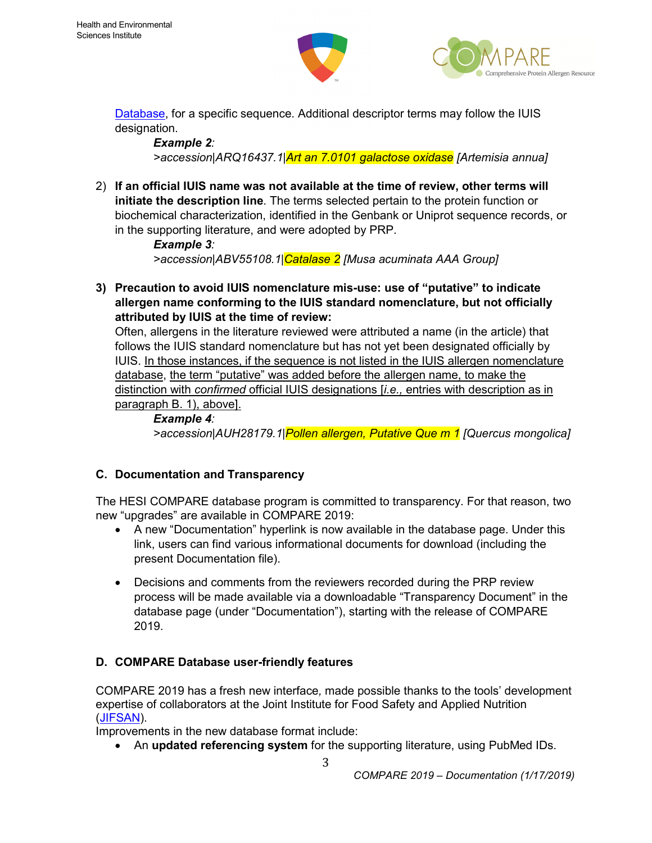



[Database,](http://www.allergen.org/) for a specific sequence. Additional descriptor terms may follow the IUIS designation.

#### *Example 2:*

*>accession|ARQ16437.1|Art an 7.0101 galactose oxidase [Artemisia annua]*

2) **If an official IUIS name was not available at the time of review, other terms will initiate the description line**. The terms selected pertain to the protein function or biochemical characterization, identified in the Genbank or Uniprot sequence records, or in the supporting literature, and were adopted by PRP.

> *Example 3: >accession|ABV55108.1|Catalase 2 [Musa acuminata AAA Group]*

**3) Precaution to avoid IUIS nomenclature mis-use: use of "putative" to indicate allergen name conforming to the IUIS standard nomenclature, but not officially attributed by IUIS at the time of review:**

Often, allergens in the literature reviewed were attributed a name (in the article) that follows the IUIS standard nomenclature but has not yet been designated officially by IUIS. In those instances, if the sequence is not listed in the IUIS allergen nomenclature database, the term "putative" was added before the allergen name, to make the distinction with *confirmed* official IUIS designations [*i.e.,* entries with description as in paragraph B. 1), above].

*Example 4: >accession|AUH28179.1|Pollen allergen, Putative Que m 1 [Quercus mongolica]*

# **C. Documentation and Transparency**

The HESI COMPARE database program is committed to transparency. For that reason, two new "upgrades" are available in COMPARE 2019:

- A new "Documentation" hyperlink is now available in the database page. Under this link, users can find various informational documents for download (including the present Documentation file).
- Decisions and comments from the reviewers recorded during the PRP review process will be made available via a downloadable "Transparency Document" in the database page (under "Documentation"), starting with the release of COMPARE 2019.

# **D. COMPARE Database user-friendly features**

COMPARE 2019 has a fresh new interface*,* made possible thanks to the tools' development expertise of collaborators at the Joint Institute for Food Safety and Applied Nutrition [\(JIFSAN\)](https://jifsan.umd.edu/).

Improvements in the new database format include:

• An **updated referencing system** for the supporting literature, using PubMed IDs.